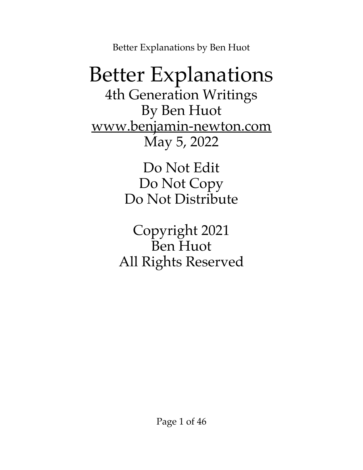### Better Explanations 4th Generation Writings By Ben Huot [www.benjamin-newton.com](http://www.benjamin-newton.com/) May 5, 2022

Do Not Edit Do Not Copy Do Not Distribute

Copyright 2021 Ben Huot All Rights Reserved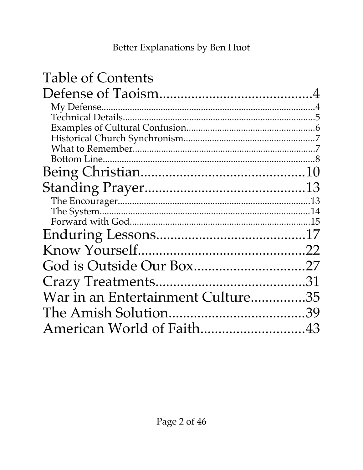| <b>Table of Contents</b>          |  |
|-----------------------------------|--|
|                                   |  |
|                                   |  |
|                                   |  |
|                                   |  |
|                                   |  |
|                                   |  |
|                                   |  |
|                                   |  |
|                                   |  |
|                                   |  |
|                                   |  |
|                                   |  |
|                                   |  |
|                                   |  |
| God is Outside Our Box27          |  |
|                                   |  |
| War in an Entertainment Culture35 |  |
|                                   |  |
| American World of Faith43         |  |
|                                   |  |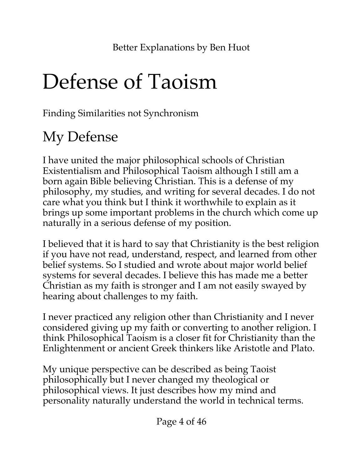## <span id="page-3-1"></span>Defense of Taoism

Finding Similarities not Synchronism

## <span id="page-3-0"></span>My Defense

I have united the major philosophical schools of Christian Existentialism and Philosophical Taoism although I still am a born again Bible believing Christian. This is a defense of my philosophy, my studies, and writing for several decades. I do not care what you think but I think it worthwhile to explain as it brings up some important problems in the church which come up naturally in a serious defense of my position.

I believed that it is hard to say that Christianity is the best religion if you have not read, understand, respect, and learned from other belief systems. So I studied and wrote about major world belief systems for several decades. I believe this has made me a better Christian as my faith is stronger and I am not easily swayed by hearing about challenges to my faith.

I never practiced any religion other than Christianity and I never considered giving up my faith or converting to another religion. I think Philosophical Taoism is a closer fit for Christianity than the Enlightenment or ancient Greek thinkers like Aristotle and Plato.

My unique perspective can be described as being Taoist philosophically but I never changed my theological or philosophical views. It just describes how my mind and personality naturally understand the world in technical terms.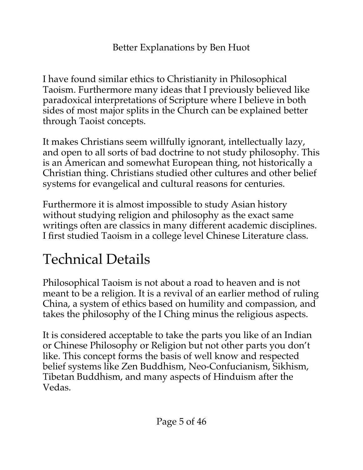I have found similar ethics to Christianity in Philosophical Taoism. Furthermore many ideas that I previously believed like paradoxical interpretations of Scripture where I believe in both sides of most major splits in the Church can be explained better through Taoist concepts.

It makes Christians seem willfully ignorant, intellectually lazy, and open to all sorts of bad doctrine to not study philosophy. This is an American and somewhat European thing, not historically a Christian thing. Christians studied other cultures and other belief systems for evangelical and cultural reasons for centuries.

Furthermore it is almost impossible to study Asian history without studying religion and philosophy as the exact same writings often are classics in many different academic disciplines. I first studied Taoism in a college level Chinese Literature class.

### <span id="page-4-0"></span>Technical Details

Philosophical Taoism is not about a road to heaven and is not meant to be a religion. It is a revival of an earlier method of ruling China, a system of ethics based on humility and compassion, and takes the philosophy of the I Ching minus the religious aspects.

It is considered acceptable to take the parts you like of an Indian or Chinese Philosophy or Religion but not other parts you don't like. This concept forms the basis of well know and respected belief systems like Zen Buddhism, Neo-Confucianism, Sikhism, Tibetan Buddhism, and many aspects of Hinduism after the Vedas.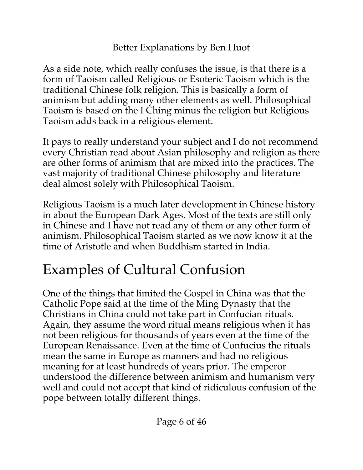As a side note, which really confuses the issue, is that there is a form of Taoism called Religious or Esoteric Taoism which is the traditional Chinese folk religion. This is basically a form of animism but adding many other elements as well. Philosophical Taoism is based on the I Ching minus the religion but Religious Taoism adds back in a religious element.

It pays to really understand your subject and I do not recommend every Christian read about Asian philosophy and religion as there are other forms of animism that are mixed into the practices. The vast majority of traditional Chinese philosophy and literature deal almost solely with Philosophical Taoism.

Religious Taoism is a much later development in Chinese history in about the European Dark Ages. Most of the texts are still only in Chinese and I have not read any of them or any other form of animism. Philosophical Taoism started as we now know it at the time of Aristotle and when Buddhism started in India.

### <span id="page-5-0"></span>Examples of Cultural Confusion

One of the things that limited the Gospel in China was that the Catholic Pope said at the time of the Ming Dynasty that the Christians in China could not take part in Confucian rituals. Again, they assume the word ritual means religious when it has not been religious for thousands of years even at the time of the European Renaissance. Even at the time of Confucius the rituals mean the same in Europe as manners and had no religious meaning for at least hundreds of years prior. The emperor understood the difference between animism and humanism very well and could not accept that kind of ridiculous confusion of the pope between totally different things.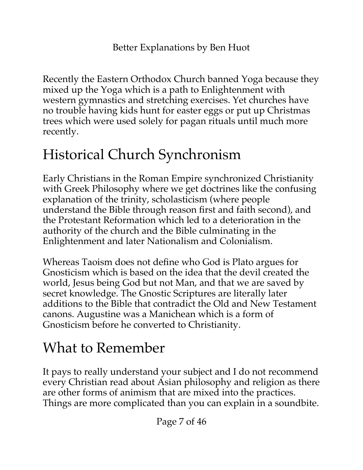Recently the Eastern Orthodox Church banned Yoga because they mixed up the Yoga which is a path to Enlightenment with western gymnastics and stretching exercises. Yet churches have no trouble having kids hunt for easter eggs or put up Christmas trees which were used solely for pagan rituals until much more recently.

### <span id="page-6-1"></span>Historical Church Synchronism

Early Christians in the Roman Empire synchronized Christianity with Greek Philosophy where we get doctrines like the confusing explanation of the trinity, scholasticism (where people understand the Bible through reason first and faith second), and the Protestant Reformation which led to a deterioration in the authority of the church and the Bible culminating in the Enlightenment and later Nationalism and Colonialism.

Whereas Taoism does not define who God is Plato argues for Gnosticism which is based on the idea that the devil created the world, Jesus being God but not Man, and that we are saved by secret knowledge. The Gnostic Scriptures are literally later additions to the Bible that contradict the Old and New Testament canons. Augustine was a Manichean which is a form of Gnosticism before he converted to Christianity.

### <span id="page-6-0"></span>What to Remember

It pays to really understand your subject and I do not recommend every Christian read about Asian philosophy and religion as there are other forms of animism that are mixed into the practices. Things are more complicated than you can explain in a soundbite.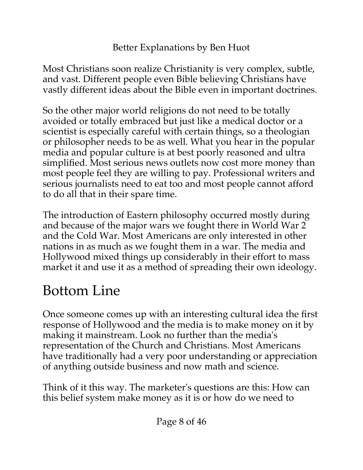Most Christians soon realize Christianity is very complex, subtle, and vast. Different people even Bible believing Christians have vastly different ideas about the Bible even in important doctrines.

So the other major world religions do not need to be totally avoided or totally embraced but just like a medical doctor or a scientist is especially careful with certain things, so a theologian or philosopher needs to be as well. What you hear in the popular media and popular culture is at best poorly reasoned and ultra simplified. Most serious news outlets now cost more money than most people feel they are willing to pay. Professional writers and serious journalists need to eat too and most people cannot afford to do all that in their spare time.

The introduction of Eastern philosophy occurred mostly during and because of the major wars we fought there in World War 2 and the Cold War. Most Americans are only interested in other nations in as much as we fought them in a war. The media and Hollywood mixed things up considerably in their effort to mass market it and use it as a method of spreading their own ideology.

### <span id="page-7-0"></span>Bottom Line

Once someone comes up with an interesting cultural idea the first response of Hollywood and the media is to make money on it by making it mainstream. Look no further than the media's representation of the Church and Christians. Most Americans have traditionally had a very poor understanding or appreciation of anything outside business and now math and science.

Think of it this way. The marketer's questions are this: How can this belief system make money as it is or how do we need to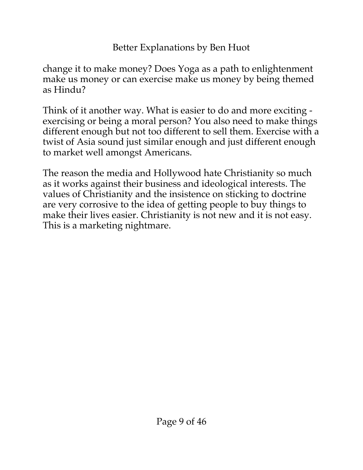change it to make money? Does Yoga as a path to enlightenment make us money or can exercise make us money by being themed as Hindu?

Think of it another way. What is easier to do and more exciting exercising or being a moral person? You also need to make things different enough but not too different to sell them. Exercise with a twist of Asia sound just similar enough and just different enough to market well amongst Americans.

The reason the media and Hollywood hate Christianity so much as it works against their business and ideological interests. The values of Christianity and the insistence on sticking to doctrine are very corrosive to the idea of getting people to buy things to make their lives easier. Christianity is not new and it is not easy. This is a marketing nightmare.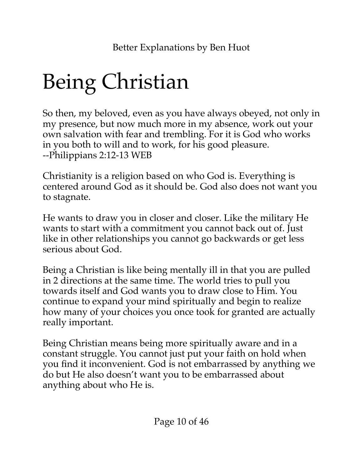# <span id="page-9-0"></span>Being Christian

So then, my beloved, even as you have always obeyed, not only in my presence, but now much more in my absence, work out your own salvation with fear and trembling. For it is God who works in you both to will and to work, for his good pleasure. --Philippians 2:12-13 WEB

Christianity is a religion based on who God is. Everything is centered around God as it should be. God also does not want you to stagnate.

He wants to draw you in closer and closer. Like the military He wants to start with a commitment you cannot back out of. Just like in other relationships you cannot go backwards or get less serious about God.

Being a Christian is like being mentally ill in that you are pulled in 2 directions at the same time. The world tries to pull you towards itself and God wants you to draw close to Him. You continue to expand your mind spiritually and begin to realize how many of your choices you once took for granted are actually really important.

Being Christian means being more spiritually aware and in a constant struggle. You cannot just put your faith on hold when you find it inconvenient. God is not embarrassed by anything we do but He also doesn't want you to be embarrassed about anything about who He is.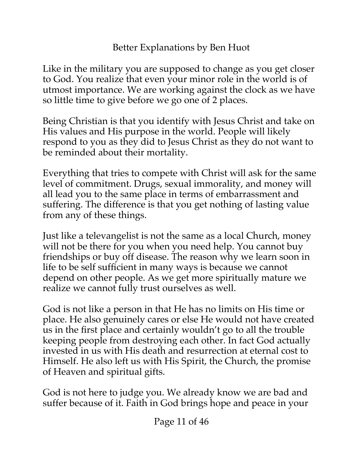Like in the military you are supposed to change as you get closer to God. You realize that even your minor role in the world is of utmost importance. We are working against the clock as we have so little time to give before we go one of 2 places.

Being Christian is that you identify with Jesus Christ and take on His values and His purpose in the world. People will likely respond to you as they did to Jesus Christ as they do not want to be reminded about their mortality.

Everything that tries to compete with Christ will ask for the same level of commitment. Drugs, sexual immorality, and money will all lead you to the same place in terms of embarrassment and suffering. The difference is that you get nothing of lasting value from any of these things.

Just like a televangelist is not the same as a local Church, money will not be there for you when you need help. You cannot buy friendships or buy off disease. The reason why we learn soon in life to be self sufficient in many ways is because we cannot depend on other people. As we get more spiritually mature we realize we cannot fully trust ourselves as well.

God is not like a person in that He has no limits on His time or place. He also genuinely cares or else He would not have created us in the first place and certainly wouldn't go to all the trouble keeping people from destroying each other. In fact God actually invested in us with His death and resurrection at eternal cost to Himself. He also left us with His Spirit, the Church, the promise of Heaven and spiritual gifts.

God is not here to judge you. We already know we are bad and suffer because of it. Faith in God brings hope and peace in your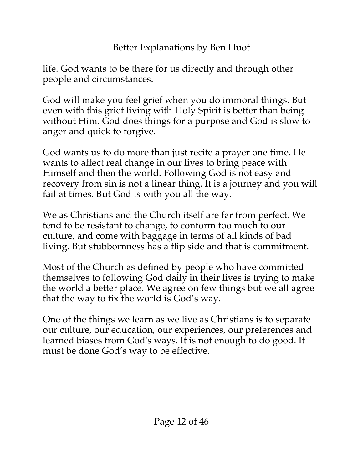life. God wants to be there for us directly and through other people and circumstances.

God will make you feel grief when you do immoral things. But even with this grief living with Holy Spirit is better than being without Him. God does things for a purpose and God is slow to anger and quick to forgive.

God wants us to do more than just recite a prayer one time. He wants to affect real change in our lives to bring peace with Himself and then the world. Following God is not easy and recovery from sin is not a linear thing. It is a journey and you will fail at times. But God is with you all the way.

We as Christians and the Church itself are far from perfect. We tend to be resistant to change, to conform too much to our culture, and come with baggage in terms of all kinds of bad living. But stubbornness has a flip side and that is commitment.

Most of the Church as defined by people who have committed themselves to following God daily in their lives is trying to make the world a better place. We agree on few things but we all agree that the way to fix the world is God's way.

One of the things we learn as we live as Christians is to separate our culture, our education, our experiences, our preferences and learned biases from God's ways. It is not enough to do good. It must be done God's way to be effective.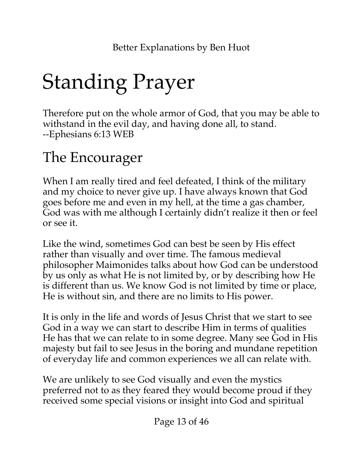# <span id="page-12-1"></span>Standing Prayer

Therefore put on the whole armor of God, that you may be able to withstand in the evil day, and having done all, to stand. --Ephesians 6:13 WEB

### <span id="page-12-0"></span>The Encourager

When I am really tired and feel defeated, I think of the military and my choice to never give up. I have always known that God goes before me and even in my hell, at the time a gas chamber, God was with me although I certainly didn't realize it then or feel or see it.

Like the wind, sometimes God can best be seen by His effect rather than visually and over time. The famous medieval philosopher Maimonides talks about how God can be understood by us only as what He is not limited by, or by describing how He is different than us. We know God is not limited by time or place, He is without sin, and there are no limits to His power.

It is only in the life and words of Jesus Christ that we start to see God in a way we can start to describe Him in terms of qualities He has that we can relate to in some degree. Many see God in His majesty but fail to see Jesus in the boring and mundane repetition of everyday life and common experiences we all can relate with.

We are unlikely to see God visually and even the mystics preferred not to as they feared they would become proud if they received some special visions or insight into God and spiritual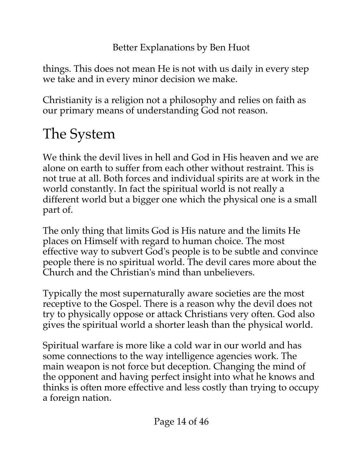things. This does not mean He is not with us daily in every step we take and in every minor decision we make.

Christianity is a religion not a philosophy and relies on faith as our primary means of understanding God not reason.

## <span id="page-13-0"></span>The System

We think the devil lives in hell and God in His heaven and we are alone on earth to suffer from each other without restraint. This is not true at all. Both forces and individual spirits are at work in the world constantly. In fact the spiritual world is not really a different world but a bigger one which the physical one is a small part of.

The only thing that limits God is His nature and the limits He places on Himself with regard to human choice. The most effective way to subvert God's people is to be subtle and convince people there is no spiritual world. The devil cares more about the Church and the Christian's mind than unbelievers.

Typically the most supernaturally aware societies are the most receptive to the Gospel. There is a reason why the devil does not try to physically oppose or attack Christians very often. God also gives the spiritual world a shorter leash than the physical world.

Spiritual warfare is more like a cold war in our world and has some connections to the way intelligence agencies work. The main weapon is not force but deception. Changing the mind of the opponent and having perfect insight into what he knows and thinks is often more effective and less costly than trying to occupy a foreign nation.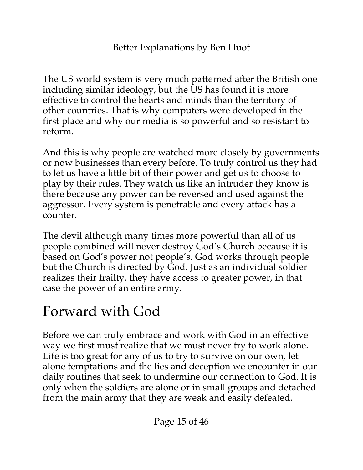The US world system is very much patterned after the British one including similar ideology, but the US has found it is more effective to control the hearts and minds than the territory of other countries. That is why computers were developed in the first place and why our media is so powerful and so resistant to reform.

And this is why people are watched more closely by governments or now businesses than every before. To truly control us they had to let us have a little bit of their power and get us to choose to play by their rules. They watch us like an intruder they know is there because any power can be reversed and used against the aggressor. Every system is penetrable and every attack has a counter.

The devil although many times more powerful than all of us people combined will never destroy God's Church because it is based on God's power not people's. God works through people but the Church is directed by God. Just as an individual soldier realizes their frailty, they have access to greater power, in that case the power of an entire army.

### <span id="page-14-0"></span>Forward with God

Before we can truly embrace and work with God in an effective way we first must realize that we must never try to work alone. Life is too great for any of us to try to survive on our own, let alone temptations and the lies and deception we encounter in our daily routines that seek to undermine our connection to God. It is only when the soldiers are alone or in small groups and detached from the main army that they are weak and easily defeated.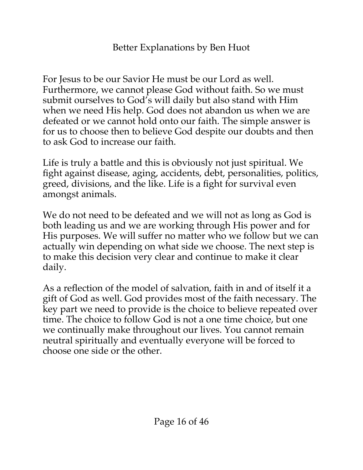For Jesus to be our Savior He must be our Lord as well. Furthermore, we cannot please God without faith. So we must submit ourselves to God's will daily but also stand with Him when we need His help. God does not abandon us when we are defeated or we cannot hold onto our faith. The simple answer is for us to choose then to believe God despite our doubts and then to ask God to increase our faith.

Life is truly a battle and this is obviously not just spiritual. We fight against disease, aging, accidents, debt, personalities, politics, greed, divisions, and the like. Life is a fight for survival even amongst animals.

We do not need to be defeated and we will not as long as God is both leading us and we are working through His power and for His purposes. We will suffer no matter who we follow but we can actually win depending on what side we choose. The next step is to make this decision very clear and continue to make it clear daily.

As a reflection of the model of salvation, faith in and of itself it a gift of God as well. God provides most of the faith necessary. The key part we need to provide is the choice to believe repeated over time. The choice to follow God is not a one time choice, but one we continually make throughout our lives. You cannot remain neutral spiritually and eventually everyone will be forced to choose one side or the other.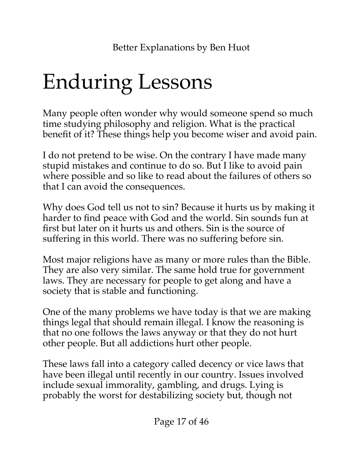## <span id="page-16-0"></span>Enduring Lessons

Many people often wonder why would someone spend so much time studying philosophy and religion. What is the practical benefit of it? These things help you become wiser and avoid pain.

I do not pretend to be wise. On the contrary I have made many stupid mistakes and continue to do so. But I like to avoid pain where possible and so like to read about the failures of others so that I can avoid the consequences.

Why does God tell us not to sin? Because it hurts us by making it harder to find peace with God and the world. Sin sounds fun at first but later on it hurts us and others. Sin is the source of suffering in this world. There was no suffering before sin.

Most major religions have as many or more rules than the Bible. They are also very similar. The same hold true for government laws. They are necessary for people to get along and have a society that is stable and functioning.

One of the many problems we have today is that we are making things legal that should remain illegal. I know the reasoning is that no one follows the laws anyway or that they do not hurt other people. But all addictions hurt other people.

These laws fall into a category called decency or vice laws that have been illegal until recently in our country. Issues involved include sexual immorality, gambling, and drugs. Lying is probably the worst for destabilizing society but, though not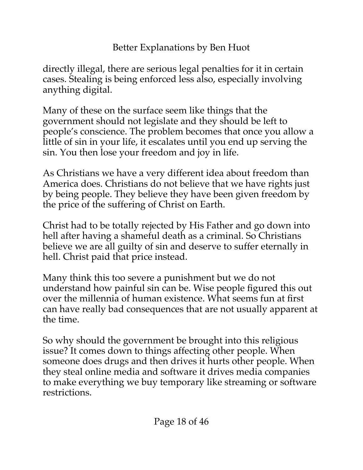directly illegal, there are serious legal penalties for it in certain cases. Stealing is being enforced less also, especially involving anything digital.

Many of these on the surface seem like things that the government should not legislate and they should be left to people's conscience. The problem becomes that once you allow a little of sin in your life, it escalates until you end up serving the sin. You then lose your freedom and joy in life.

As Christians we have a very different idea about freedom than America does. Christians do not believe that we have rights just by being people. They believe they have been given freedom by the price of the suffering of Christ on Earth.

Christ had to be totally rejected by His Father and go down into hell after having a shameful death as a criminal. So Christians believe we are all guilty of sin and deserve to suffer eternally in hell. Christ paid that price instead.

Many think this too severe a punishment but we do not understand how painful sin can be. Wise people figured this out over the millennia of human existence. What seems fun at first can have really bad consequences that are not usually apparent at the time.

So why should the government be brought into this religious issue? It comes down to things affecting other people. When someone does drugs and then drives it hurts other people. When they steal online media and software it drives media companies to make everything we buy temporary like streaming or software restrictions.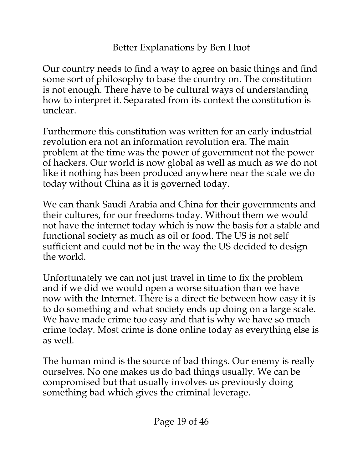Our country needs to find a way to agree on basic things and find some sort of philosophy to base the country on. The constitution is not enough. There have to be cultural ways of understanding how to interpret it. Separated from its context the constitution is unclear.

Furthermore this constitution was written for an early industrial revolution era not an information revolution era. The main problem at the time was the power of government not the power of hackers. Our world is now global as well as much as we do not like it nothing has been produced anywhere near the scale we do today without China as it is governed today.

We can thank Saudi Arabia and China for their governments and their cultures, for our freedoms today. Without them we would not have the internet today which is now the basis for a stable and functional society as much as oil or food. The US is not self sufficient and could not be in the way the US decided to design the world.

Unfortunately we can not just travel in time to fix the problem and if we did we would open a worse situation than we have now with the Internet. There is a direct tie between how easy it is to do something and what society ends up doing on a large scale. We have made crime too easy and that is why we have so much crime today. Most crime is done online today as everything else is as well.

The human mind is the source of bad things. Our enemy is really ourselves. No one makes us do bad things usually. We can be compromised but that usually involves us previously doing something bad which gives the criminal leverage.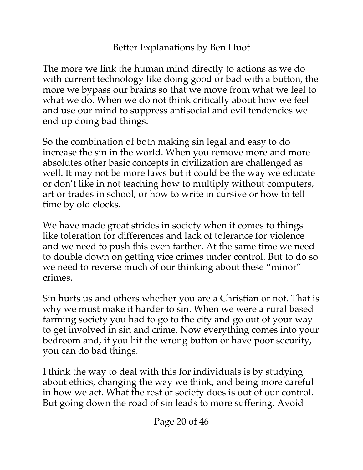The more we link the human mind directly to actions as we do with current technology like doing good or bad with a button, the more we bypass our brains so that we move from what we feel to what we do. When we do not think critically about how we feel and use our mind to suppress antisocial and evil tendencies we end up doing bad things.

So the combination of both making sin legal and easy to do increase the sin in the world. When you remove more and more absolutes other basic concepts in civilization are challenged as well. It may not be more laws but it could be the way we educate or don't like in not teaching how to multiply without computers, art or trades in school, or how to write in cursive or how to tell time by old clocks.

We have made great strides in society when it comes to things like toleration for differences and lack of tolerance for violence and we need to push this even farther. At the same time we need to double down on getting vice crimes under control. But to do so we need to reverse much of our thinking about these "minor" crimes.

Sin hurts us and others whether you are a Christian or not. That is why we must make it harder to sin. When we were a rural based farming society you had to go to the city and go out of your way to get involved in sin and crime. Now everything comes into your bedroom and, if you hit the wrong button or have poor security, you can do bad things.

I think the way to deal with this for individuals is by studying about ethics, changing the way we think, and being more careful in how we act. What the rest of society does is out of our control. But going down the road of sin leads to more suffering. Avoid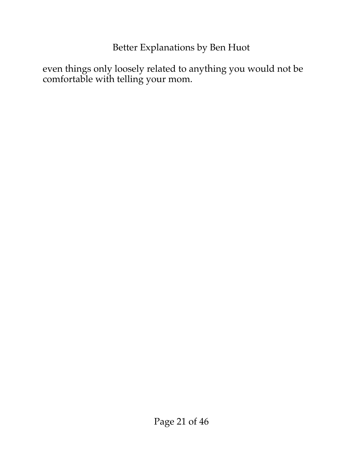even things only loosely related to anything you would not be comfortable with telling your mom.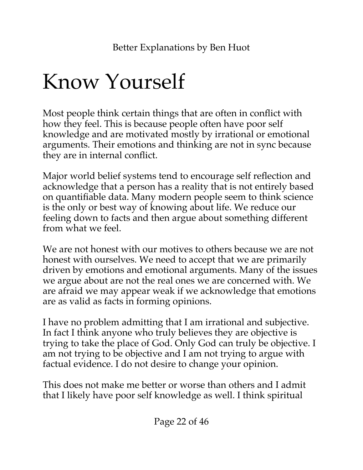## <span id="page-21-0"></span>Know Yourself

Most people think certain things that are often in conflict with how they feel. This is because people often have poor self knowledge and are motivated mostly by irrational or emotional arguments. Their emotions and thinking are not in sync because they are in internal conflict.

Major world belief systems tend to encourage self reflection and acknowledge that a person has a reality that is not entirely based on quantifiable data. Many modern people seem to think science is the only or best way of knowing about life. We reduce our feeling down to facts and then argue about something different from what we feel.

We are not honest with our motives to others because we are not honest with ourselves. We need to accept that we are primarily driven by emotions and emotional arguments. Many of the issues we argue about are not the real ones we are concerned with. We are afraid we may appear weak if we acknowledge that emotions are as valid as facts in forming opinions.

I have no problem admitting that I am irrational and subjective. In fact I think anyone who truly believes they are objective is trying to take the place of God. Only God can truly be objective. I am not trying to be objective and I am not trying to argue with factual evidence. I do not desire to change your opinion.

This does not make me better or worse than others and I admit that I likely have poor self knowledge as well. I think spiritual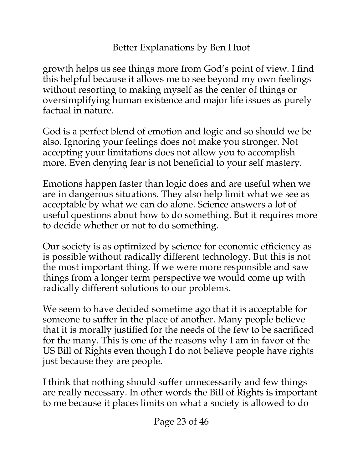growth helps us see things more from God's point of view. I find this helpful because it allows me to see beyond my own feelings without resorting to making myself as the center of things or oversimplifying human existence and major life issues as purely factual in nature.

God is a perfect blend of emotion and logic and so should we be also. Ignoring your feelings does not make you stronger. Not accepting your limitations does not allow you to accomplish more. Even denying fear is not beneficial to your self mastery.

Emotions happen faster than logic does and are useful when we are in dangerous situations. They also help limit what we see as acceptable by what we can do alone. Science answers a lot of useful questions about how to do something. But it requires more to decide whether or not to do something.

Our society is as optimized by science for economic efficiency as is possible without radically different technology. But this is not the most important thing. If we were more responsible and saw things from a longer term perspective we would come up with radically different solutions to our problems.

We seem to have decided sometime ago that it is acceptable for someone to suffer in the place of another. Many people believe that it is morally justified for the needs of the few to be sacrificed for the many. This is one of the reasons why I am in favor of the US Bill of Rights even though I do not believe people have rights just because they are people.

I think that nothing should suffer unnecessarily and few things are really necessary. In other words the Bill of Rights is important to me because it places limits on what a society is allowed to do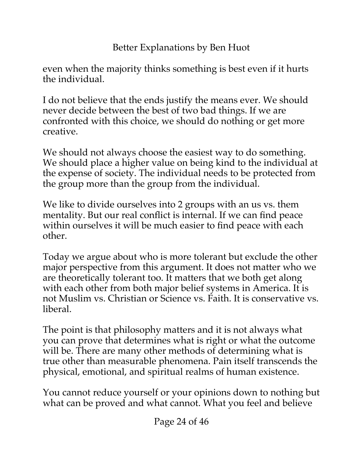even when the majority thinks something is best even if it hurts the individual.

I do not believe that the ends justify the means ever. We should never decide between the best of two bad things. If we are confronted with this choice, we should do nothing or get more creative.

We should not always choose the easiest way to do something. We should place a higher value on being kind to the individual at the expense of society. The individual needs to be protected from the group more than the group from the individual.

We like to divide ourselves into 2 groups with an us vs. them mentality. But our real conflict is internal. If we can find peace within ourselves it will be much easier to find peace with each other.

Today we argue about who is more tolerant but exclude the other major perspective from this argument. It does not matter who we are theoretically tolerant too. It matters that we both get along with each other from both major belief systems in America. It is not Muslim vs. Christian or Science vs. Faith. It is conservative vs. liberal.

The point is that philosophy matters and it is not always what you can prove that determines what is right or what the outcome will be. There are many other methods of determining what is true other than measurable phenomena. Pain itself transcends the physical, emotional, and spiritual realms of human existence.

You cannot reduce yourself or your opinions down to nothing but what can be proved and what cannot. What you feel and believe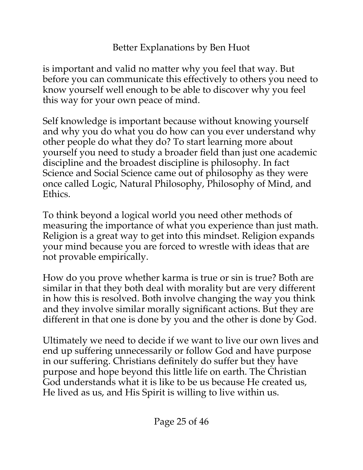is important and valid no matter why you feel that way. But before you can communicate this effectively to others you need to know yourself well enough to be able to discover why you feel this way for your own peace of mind.

Self knowledge is important because without knowing yourself and why you do what you do how can you ever understand why other people do what they do? To start learning more about yourself you need to study a broader field than just one academic discipline and the broadest discipline is philosophy. In fact Science and Social Science came out of philosophy as they were once called Logic, Natural Philosophy, Philosophy of Mind, and Ethics.

To think beyond a logical world you need other methods of measuring the importance of what you experience than just math. Religion is a great way to get into this mindset. Religion expands your mind because you are forced to wrestle with ideas that are not provable empirically.

How do you prove whether karma is true or sin is true? Both are similar in that they both deal with morality but are very different in how this is resolved. Both involve changing the way you think and they involve similar morally significant actions. But they are different in that one is done by you and the other is done by God.

Ultimately we need to decide if we want to live our own lives and end up suffering unnecessarily or follow God and have purpose in our suffering. Christians definitely do suffer but they have purpose and hope beyond this little life on earth. The Christian God understands what it is like to be us because He created us, He lived as us, and His Spirit is willing to live within us.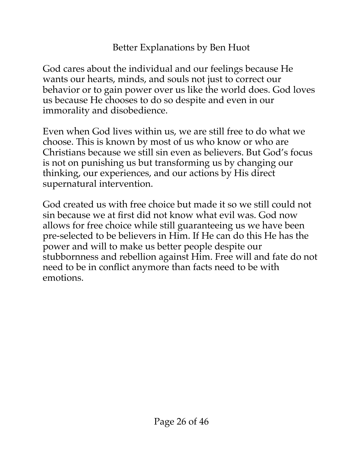God cares about the individual and our feelings because He wants our hearts, minds, and souls not just to correct our behavior or to gain power over us like the world does. God loves us because He chooses to do so despite and even in our immorality and disobedience.

Even when God lives within us, we are still free to do what we choose. This is known by most of us who know or who are Christians because we still sin even as believers. But God's focus is not on punishing us but transforming us by changing our thinking, our experiences, and our actions by His direct supernatural intervention.

God created us with free choice but made it so we still could not sin because we at first did not know what evil was. God now allows for free choice while still guaranteeing us we have been pre-selected to be believers in Him. If He can do this He has the power and will to make us better people despite our stubbornness and rebellion against Him. Free will and fate do not need to be in conflict anymore than facts need to be with emotions.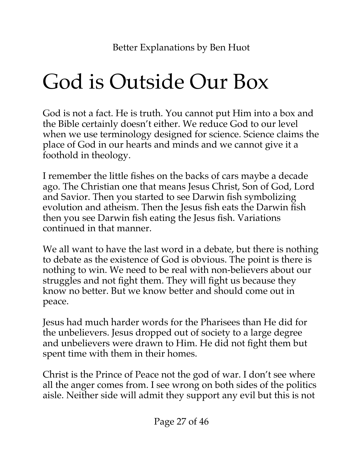## <span id="page-26-0"></span>God is Outside Our Box

God is not a fact. He is truth. You cannot put Him into a box and the Bible certainly doesn't either. We reduce God to our level when we use terminology designed for science. Science claims the place of God in our hearts and minds and we cannot give it a foothold in theology.

I remember the little fishes on the backs of cars maybe a decade ago. The Christian one that means Jesus Christ, Son of God, Lord and Savior. Then you started to see Darwin fish symbolizing evolution and atheism. Then the Jesus fish eats the Darwin fish then you see Darwin fish eating the Jesus fish. Variations continued in that manner.

We all want to have the last word in a debate, but there is nothing to debate as the existence of God is obvious. The point is there is nothing to win. We need to be real with non-believers about our struggles and not fight them. They will fight us because they know no better. But we know better and should come out in peace.

Jesus had much harder words for the Pharisees than He did for the unbelievers. Jesus dropped out of society to a large degree and unbelievers were drawn to Him. He did not fight them but spent time with them in their homes.

Christ is the Prince of Peace not the god of war. I don't see where all the anger comes from. I see wrong on both sides of the politics aisle. Neither side will admit they support any evil but this is not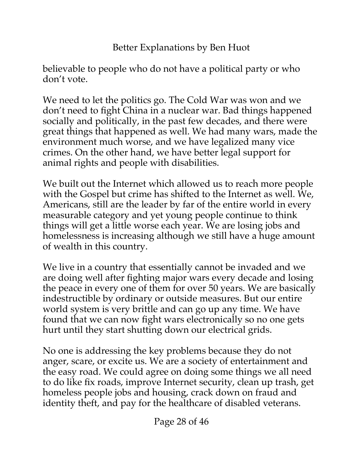believable to people who do not have a political party or who don't vote.

We need to let the politics go. The Cold War was won and we don't need to fight China in a nuclear war. Bad things happened socially and politically, in the past few decades, and there were great things that happened as well. We had many wars, made the environment much worse, and we have legalized many vice crimes. On the other hand, we have better legal support for animal rights and people with disabilities.

We built out the Internet which allowed us to reach more people with the Gospel but crime has shifted to the Internet as well. We, Americans, still are the leader by far of the entire world in every measurable category and yet young people continue to think things will get a little worse each year. We are losing jobs and homelessness is increasing although we still have a huge amount of wealth in this country.

We live in a country that essentially cannot be invaded and we are doing well after fighting major wars every decade and losing the peace in every one of them for over 50 years. We are basically indestructible by ordinary or outside measures. But our entire world system is very brittle and can go up any time. We have found that we can now fight wars electronically so no one gets hurt until they start shutting down our electrical grids.

No one is addressing the key problems because they do not anger, scare, or excite us. We are a society of entertainment and the easy road. We could agree on doing some things we all need to do like fix roads, improve Internet security, clean up trash, get homeless people jobs and housing, crack down on fraud and identity theft, and pay for the healthcare of disabled veterans.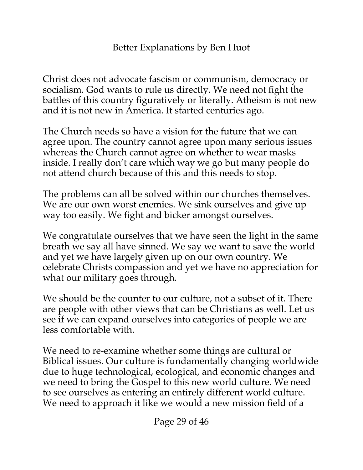Christ does not advocate fascism or communism, democracy or socialism. God wants to rule us directly. We need not fight the battles of this country figuratively or literally. Atheism is not new and it is not new in America. It started centuries ago.

The Church needs so have a vision for the future that we can agree upon. The country cannot agree upon many serious issues whereas the Church cannot agree on whether to wear masks inside. I really don't care which way we go but many people do not attend church because of this and this needs to stop.

The problems can all be solved within our churches themselves. We are our own worst enemies. We sink ourselves and give up way too easily. We fight and bicker amongst ourselves.

We congratulate ourselves that we have seen the light in the same breath we say all have sinned. We say we want to save the world and yet we have largely given up on our own country. We celebrate Christs compassion and yet we have no appreciation for what our military goes through.

We should be the counter to our culture, not a subset of it. There are people with other views that can be Christians as well. Let us see if we can expand ourselves into categories of people we are less comfortable with.

We need to re-examine whether some things are cultural or Biblical issues. Our culture is fundamentally changing worldwide due to huge technological, ecological, and economic changes and we need to bring the Gospel to this new world culture. We need to see ourselves as entering an entirely different world culture. We need to approach it like we would a new mission field of a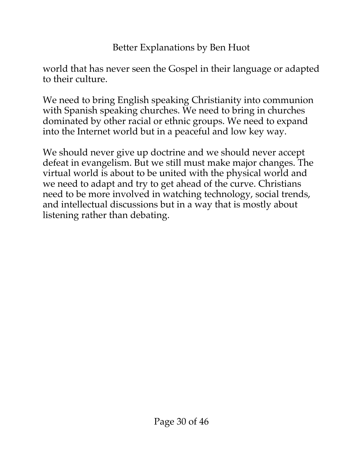world that has never seen the Gospel in their language or adapted to their culture.

We need to bring English speaking Christianity into communion with Spanish speaking churches. We need to bring in churches dominated by other racial or ethnic groups. We need to expand into the Internet world but in a peaceful and low key way.

We should never give up doctrine and we should never accept defeat in evangelism. But we still must make major changes. The virtual world is about to be united with the physical world and we need to adapt and try to get ahead of the curve. Christians need to be more involved in watching technology, social trends, and intellectual discussions but in a way that is mostly about listening rather than debating.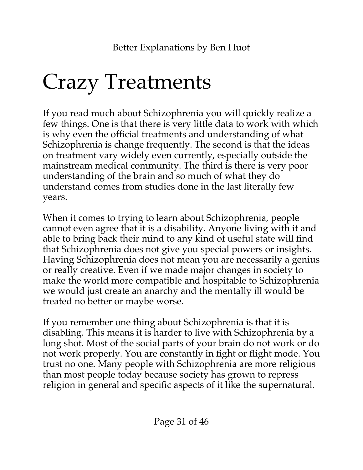## <span id="page-30-0"></span>Crazy Treatments

If you read much about Schizophrenia you will quickly realize a few things. One is that there is very little data to work with which is why even the official treatments and understanding of what Schizophrenia is change frequently. The second is that the ideas on treatment vary widely even currently, especially outside the mainstream medical community. The third is there is very poor understanding of the brain and so much of what they do understand comes from studies done in the last literally few years.

When it comes to trying to learn about Schizophrenia, people cannot even agree that it is a disability. Anyone living with it and able to bring back their mind to any kind of useful state will find that Schizophrenia does not give you special powers or insights. Having Schizophrenia does not mean you are necessarily a genius or really creative. Even if we made major changes in society to make the world more compatible and hospitable to Schizophrenia we would just create an anarchy and the mentally ill would be treated no better or maybe worse.

If you remember one thing about Schizophrenia is that it is disabling. This means it is harder to live with Schizophrenia by a long shot. Most of the social parts of your brain do not work or do not work properly. You are constantly in fight or flight mode. You trust no one. Many people with Schizophrenia are more religious than most people today because society has grown to repress religion in general and specific aspects of it like the supernatural.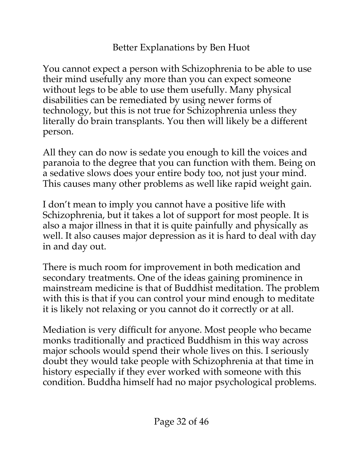You cannot expect a person with Schizophrenia to be able to use their mind usefully any more than you can expect someone without legs to be able to use them usefully. Many physical disabilities can be remediated by using newer forms of technology, but this is not true for Schizophrenia unless they literally do brain transplants. You then will likely be a different person.

All they can do now is sedate you enough to kill the voices and paranoia to the degree that you can function with them. Being on a sedative slows does your entire body too, not just your mind. This causes many other problems as well like rapid weight gain.

I don't mean to imply you cannot have a positive life with Schizophrenia, but it takes a lot of support for most people. It is also a major illness in that it is quite painfully and physically as well. It also causes major depression as it is hard to deal with day in and day out.

There is much room for improvement in both medication and secondary treatments. One of the ideas gaining prominence in mainstream medicine is that of Buddhist meditation. The problem with this is that if you can control your mind enough to meditate it is likely not relaxing or you cannot do it correctly or at all.

Mediation is very difficult for anyone. Most people who became monks traditionally and practiced Buddhism in this way across major schools would spend their whole lives on this. I seriously doubt they would take people with Schizophrenia at that time in history especially if they ever worked with someone with this condition. Buddha himself had no major psychological problems.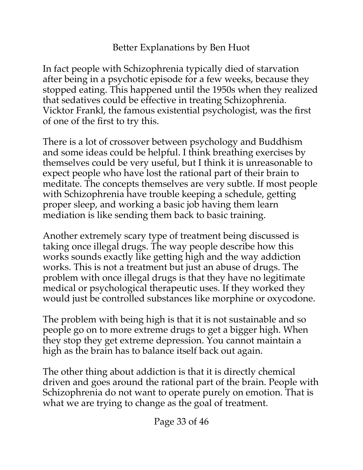In fact people with Schizophrenia typically died of starvation after being in a psychotic episode for a few weeks, because they stopped eating. This happened until the 1950s when they realized that sedatives could be effective in treating Schizophrenia. Vicktor Frankl, the famous existential psychologist, was the first of one of the first to try this.

There is a lot of crossover between psychology and Buddhism and some ideas could be helpful. I think breathing exercises by themselves could be very useful, but I think it is unreasonable to expect people who have lost the rational part of their brain to meditate. The concepts themselves are very subtle. If most people with Schizophrenia have trouble keeping a schedule, getting proper sleep, and working a basic job having them learn mediation is like sending them back to basic training.

Another extremely scary type of treatment being discussed is taking once illegal drugs. The way people describe how this works sounds exactly like getting high and the way addiction works. This is not a treatment but just an abuse of drugs. The problem with once illegal drugs is that they have no legitimate medical or psychological therapeutic uses. If they worked they would just be controlled substances like morphine or oxycodone.

The problem with being high is that it is not sustainable and so people go on to more extreme drugs to get a bigger high. When they stop they get extreme depression. You cannot maintain a high as the brain has to balance itself back out again.

The other thing about addiction is that it is directly chemical driven and goes around the rational part of the brain. People with Schizophrenia do not want to operate purely on emotion. That is what we are trying to change as the goal of treatment.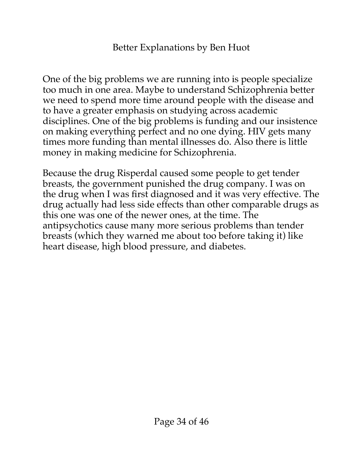One of the big problems we are running into is people specialize too much in one area. Maybe to understand Schizophrenia better we need to spend more time around people with the disease and to have a greater emphasis on studying across academic disciplines. One of the big problems is funding and our insistence on making everything perfect and no one dying. HIV gets many times more funding than mental illnesses do. Also there is little money in making medicine for Schizophrenia.

Because the drug Risperdal caused some people to get tender breasts, the government punished the drug company. I was on the drug when I was first diagnosed and it was very effective. The drug actually had less side effects than other comparable drugs as this one was one of the newer ones, at the time. The antipsychotics cause many more serious problems than tender breasts (which they warned me about too before taking it) like heart disease, high blood pressure, and diabetes.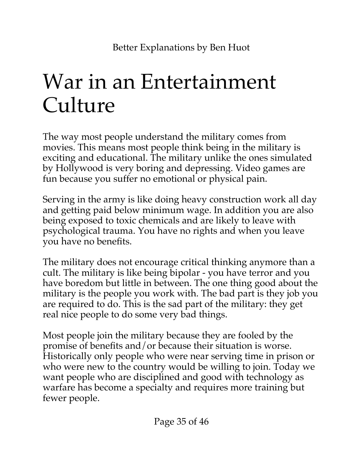## <span id="page-34-0"></span>War in an Entertainment Culture

The way most people understand the military comes from movies. This means most people think being in the military is exciting and educational. The military unlike the ones simulated by Hollywood is very boring and depressing. Video games are fun because you suffer no emotional or physical pain.

Serving in the army is like doing heavy construction work all day and getting paid below minimum wage. In addition you are also being exposed to toxic chemicals and are likely to leave with psychological trauma. You have no rights and when you leave you have no benefits.

The military does not encourage critical thinking anymore than a cult. The military is like being bipolar - you have terror and you have boredom but little in between. The one thing good about the military is the people you work with. The bad part is they job you are required to do. This is the sad part of the military: they get real nice people to do some very bad things.

Most people join the military because they are fooled by the promise of benefits and/or because their situation is worse. Historically only people who were near serving time in prison or who were new to the country would be willing to join. Today we want people who are disciplined and good with technology as warfare has become a specialty and requires more training but fewer people.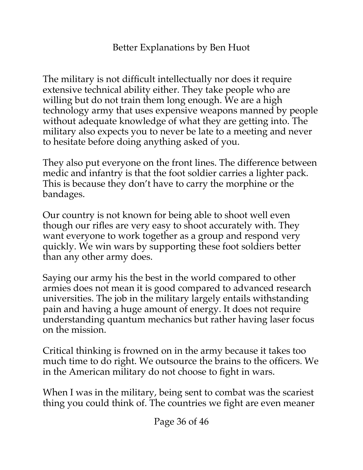The military is not difficult intellectually nor does it require extensive technical ability either. They take people who are willing but do not train them long enough. We are a high technology army that uses expensive weapons manned by people without adequate knowledge of what they are getting into. The military also expects you to never be late to a meeting and never to hesitate before doing anything asked of you.

They also put everyone on the front lines. The difference between medic and infantry is that the foot soldier carries a lighter pack. This is because they don't have to carry the morphine or the bandages.

Our country is not known for being able to shoot well even though our rifles are very easy to shoot accurately with. They want everyone to work together as a group and respond very quickly. We win wars by supporting these foot soldiers better than any other army does.

Saying our army his the best in the world compared to other armies does not mean it is good compared to advanced research universities. The job in the military largely entails withstanding pain and having a huge amount of energy. It does not require understanding quantum mechanics but rather having laser focus on the mission.

Critical thinking is frowned on in the army because it takes too much time to do right. We outsource the brains to the officers. We in the American military do not choose to fight in wars.

When I was in the military, being sent to combat was the scariest thing you could think of. The countries we fight are even meaner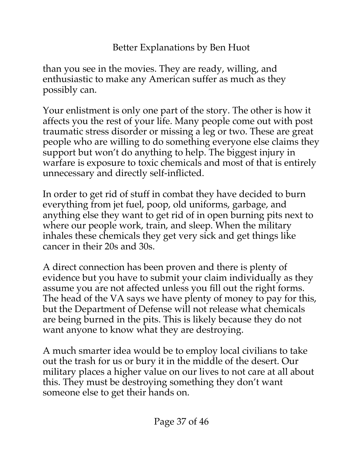than you see in the movies. They are ready, willing, and enthusiastic to make any American suffer as much as they possibly can.

Your enlistment is only one part of the story. The other is how it affects you the rest of your life. Many people come out with post traumatic stress disorder or missing a leg or two. These are great people who are willing to do something everyone else claims they support but won't do anything to help. The biggest injury in warfare is exposure to toxic chemicals and most of that is entirely unnecessary and directly self-inflicted.

In order to get rid of stuff in combat they have decided to burn everything from jet fuel, poop, old uniforms, garbage, and anything else they want to get rid of in open burning pits next to where our people work, train, and sleep. When the military inhales these chemicals they get very sick and get things like cancer in their 20s and 30s.

A direct connection has been proven and there is plenty of evidence but you have to submit your claim individually as they assume you are not affected unless you fill out the right forms. The head of the VA says we have plenty of money to pay for this, but the Department of Defense will not release what chemicals are being burned in the pits. This is likely because they do not want anyone to know what they are destroying.

A much smarter idea would be to employ local civilians to take out the trash for us or bury it in the middle of the desert. Our military places a higher value on our lives to not care at all about this. They must be destroying something they don't want someone else to get their hands on.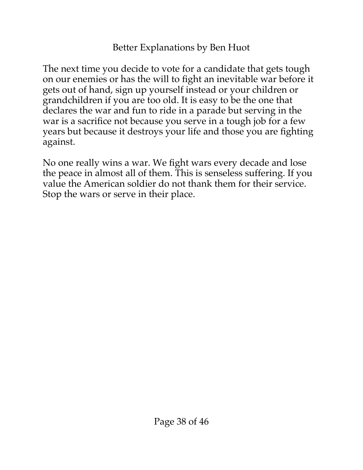The next time you decide to vote for a candidate that gets tough on our enemies or has the will to fight an inevitable war before it gets out of hand, sign up yourself instead or your children or grandchildren if you are too old. It is easy to be the one that declares the war and fun to ride in a parade but serving in the war is a sacrifice not because you serve in a tough job for a few years but because it destroys your life and those you are fighting against.

No one really wins a war. We fight wars every decade and lose the peace in almost all of them. This is senseless suffering. If you value the American soldier do not thank them for their service. Stop the wars or serve in their place.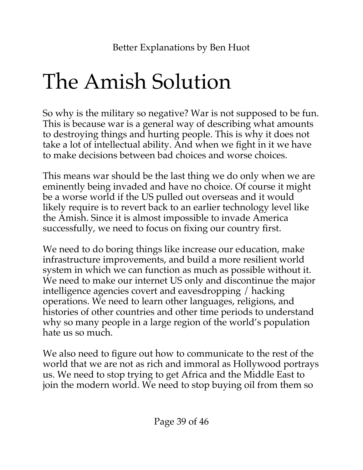## <span id="page-38-0"></span>The Amish Solution

So why is the military so negative? War is not supposed to be fun. This is because war is a general way of describing what amounts to destroying things and hurting people. This is why it does not take a lot of intellectual ability. And when we fight in it we have to make decisions between bad choices and worse choices.

This means war should be the last thing we do only when we are eminently being invaded and have no choice. Of course it might be a worse world if the US pulled out overseas and it would likely require is to revert back to an earlier technology level like the Amish. Since it is almost impossible to invade America successfully, we need to focus on fixing our country first.

We need to do boring things like increase our education, make infrastructure improvements, and build a more resilient world system in which we can function as much as possible without it. We need to make our internet US only and discontinue the major intelligence agencies covert and eavesdropping / hacking operations. We need to learn other languages, religions, and histories of other countries and other time periods to understand why so many people in a large region of the world's population hate us so much.

We also need to figure out how to communicate to the rest of the world that we are not as rich and immoral as Hollywood portrays us. We need to stop trying to get Africa and the Middle East to join the modern world. We need to stop buying oil from them so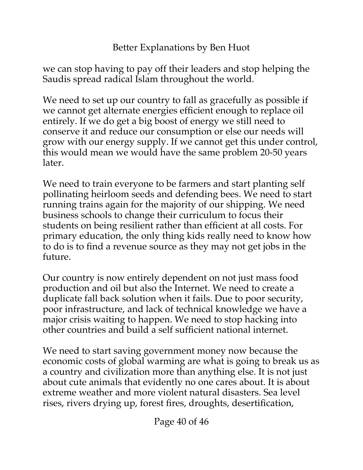we can stop having to pay off their leaders and stop helping the Saudis spread radical Islam throughout the world.

We need to set up our country to fall as gracefully as possible if we cannot get alternate energies efficient enough to replace oil entirely. If we do get a big boost of energy we still need to conserve it and reduce our consumption or else our needs will grow with our energy supply. If we cannot get this under control, this would mean we would have the same problem 20-50 years later.

We need to train everyone to be farmers and start planting self pollinating heirloom seeds and defending bees. We need to start running trains again for the majority of our shipping. We need business schools to change their curriculum to focus their students on being resilient rather than efficient at all costs. For primary education, the only thing kids really need to know how to do is to find a revenue source as they may not get jobs in the future.

Our country is now entirely dependent on not just mass food production and oil but also the Internet. We need to create a duplicate fall back solution when it fails. Due to poor security, poor infrastructure, and lack of technical knowledge we have a major crisis waiting to happen. We need to stop hacking into other countries and build a self sufficient national internet.

We need to start saving government money now because the economic costs of global warming are what is going to break us as a country and civilization more than anything else. It is not just about cute animals that evidently no one cares about. It is about extreme weather and more violent natural disasters. Sea level rises, rivers drying up, forest fires, droughts, desertification,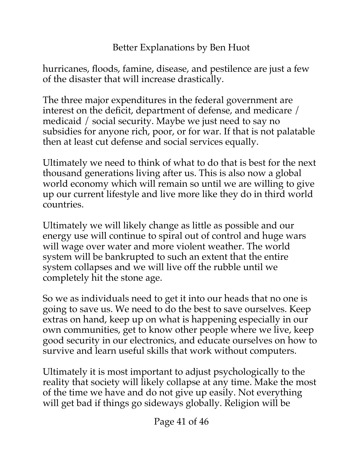hurricanes, floods, famine, disease, and pestilence are just a few of the disaster that will increase drastically.

The three major expenditures in the federal government are interest on the deficit, department of defense, and medicare / medicaid / social security. Maybe we just need to say no subsidies for anyone rich, poor, or for war. If that is not palatable then at least cut defense and social services equally.

Ultimately we need to think of what to do that is best for the next thousand generations living after us. This is also now a global world economy which will remain so until we are willing to give up our current lifestyle and live more like they do in third world countries.

Ultimately we will likely change as little as possible and our energy use will continue to spiral out of control and huge wars will wage over water and more violent weather. The world system will be bankrupted to such an extent that the entire system collapses and we will live off the rubble until we completely hit the stone age.

So we as individuals need to get it into our heads that no one is going to save us. We need to do the best to save ourselves. Keep extras on hand, keep up on what is happening especially in our own communities, get to know other people where we live, keep good security in our electronics, and educate ourselves on how to survive and learn useful skills that work without computers.

Ultimately it is most important to adjust psychologically to the reality that society will likely collapse at any time. Make the most of the time we have and do not give up easily. Not everything will get bad if things go sideways globally. Religion will be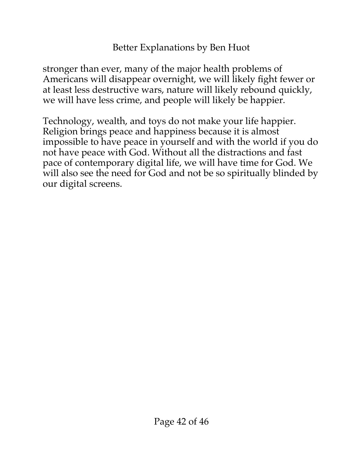stronger than ever, many of the major health problems of Americans will disappear overnight, we will likely fight fewer or at least less destructive wars, nature will likely rebound quickly, we will have less crime, and people will likely be happier.

Technology, wealth, and toys do not make your life happier. Religion brings peace and happiness because it is almost impossible to have peace in yourself and with the world if you do not have peace with God. Without all the distractions and fast pace of contemporary digital life, we will have time for God. We will also see the need for God and not be so spiritually blinded by our digital screens.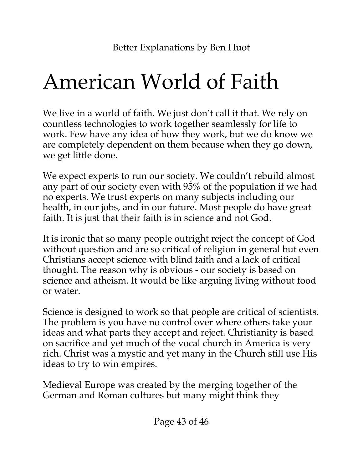## <span id="page-42-0"></span>American World of Faith

We live in a world of faith. We just don't call it that. We rely on countless technologies to work together seamlessly for life to work. Few have any idea of how they work, but we do know we are completely dependent on them because when they go down, we get little done.

We expect experts to run our society. We couldn't rebuild almost any part of our society even with 95% of the population if we had no experts. We trust experts on many subjects including our health, in our jobs, and in our future. Most people do have great faith. It is just that their faith is in science and not God.

It is ironic that so many people outright reject the concept of God without question and are so critical of religion in general but even Christians accept science with blind faith and a lack of critical thought. The reason why is obvious - our society is based on science and atheism. It would be like arguing living without food or water.

Science is designed to work so that people are critical of scientists. The problem is you have no control over where others take your ideas and what parts they accept and reject. Christianity is based on sacrifice and yet much of the vocal church in America is very rich. Christ was a mystic and yet many in the Church still use His ideas to try to win empires.

Medieval Europe was created by the merging together of the German and Roman cultures but many might think they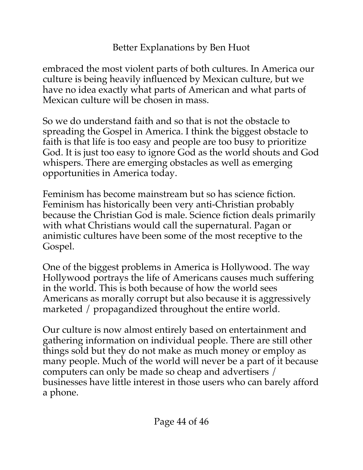embraced the most violent parts of both cultures. In America our culture is being heavily influenced by Mexican culture, but we have no idea exactly what parts of American and what parts of Mexican culture will be chosen in mass.

So we do understand faith and so that is not the obstacle to spreading the Gospel in America. I think the biggest obstacle to faith is that life is too easy and people are too busy to prioritize God. It is just too easy to ignore God as the world shouts and God whispers. There are emerging obstacles as well as emerging opportunities in America today.

Feminism has become mainstream but so has science fiction. Feminism has historically been very anti-Christian probably because the Christian God is male. Science fiction deals primarily with what Christians would call the supernatural. Pagan or animistic cultures have been some of the most receptive to the Gospel.

One of the biggest problems in America is Hollywood. The way Hollywood portrays the life of Americans causes much suffering in the world. This is both because of how the world sees Americans as morally corrupt but also because it is aggressively marketed / propagandized throughout the entire world.

Our culture is now almost entirely based on entertainment and gathering information on individual people. There are still other things sold but they do not make as much money or employ as many people. Much of the world will never be a part of it because computers can only be made so cheap and advertisers / businesses have little interest in those users who can barely afford a phone.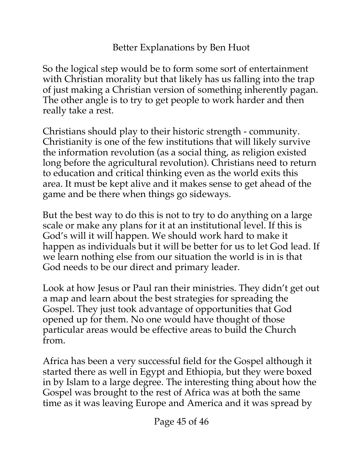So the logical step would be to form some sort of entertainment with Christian morality but that likely has us falling into the trap of just making a Christian version of something inherently pagan. The other angle is to try to get people to work harder and then really take a rest.

Christians should play to their historic strength - community. Christianity is one of the few institutions that will likely survive the information revolution (as a social thing, as religion existed long before the agricultural revolution). Christians need to return to education and critical thinking even as the world exits this area. It must be kept alive and it makes sense to get ahead of the game and be there when things go sideways.

But the best way to do this is not to try to do anything on a large scale or make any plans for it at an institutional level. If this is God's will it will happen. We should work hard to make it happen as individuals but it will be better for us to let God lead. If we learn nothing else from our situation the world is in is that God needs to be our direct and primary leader.

Look at how Jesus or Paul ran their ministries. They didn't get out a map and learn about the best strategies for spreading the Gospel. They just took advantage of opportunities that God opened up for them. No one would have thought of those particular areas would be effective areas to build the Church from.

Africa has been a very successful field for the Gospel although it started there as well in Egypt and Ethiopia, but they were boxed in by Islam to a large degree. The interesting thing about how the Gospel was brought to the rest of Africa was at both the same time as it was leaving Europe and America and it was spread by